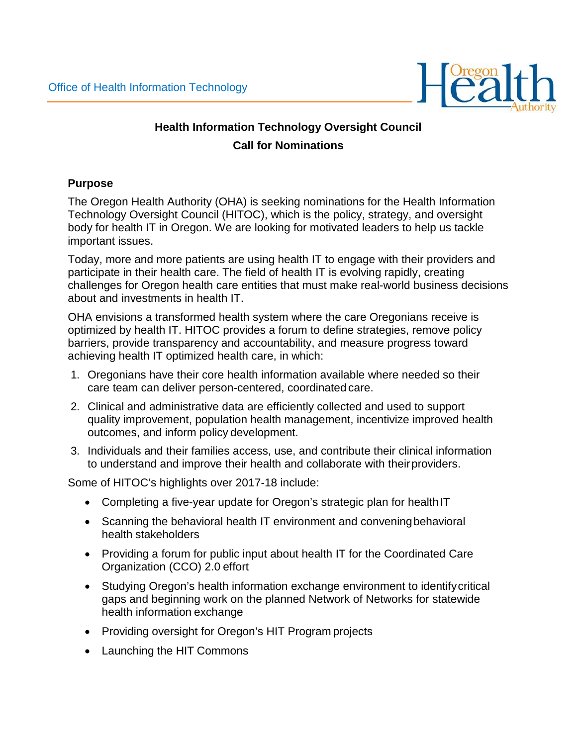

# **Health Information Technology Oversight Council Call for Nominations**

#### **Purpose**

The Oregon Health Authority (OHA) is seeking nominations for the Health Information Technology Oversight Council (HITOC), which is the policy, strategy, and oversight body for health IT in Oregon. We are looking for motivated leaders to help us tackle important issues.

Today, more and more patients are using health IT to engage with their providers and participate in their health care. The field of health IT is evolving rapidly, creating challenges for Oregon health care entities that must make real-world business decisions about and investments in health IT.

OHA envisions a transformed health system where the care Oregonians receive is optimized by health IT. HITOC provides a forum to define strategies, remove policy barriers, provide transparency and accountability, and measure progress toward achieving health IT optimized health care, in which:

- 1. Oregonians have their core health information available where needed so their care team can deliver person-centered, coordinated care.
- 2. Clinical and administrative data are efficiently collected and used to support quality improvement, population health management, incentivize improved health outcomes, and inform policy development.
- 3. Individuals and their families access, use, and contribute their clinical information to understand and improve their health and collaborate with theirproviders.

Some of HITOC's highlights over 2017-18 include:

- Completing a five-year update for Oregon's strategic plan for health IT
- Scanning the behavioral health IT environment and conveningbehavioral health stakeholders
- Providing a forum for public input about health IT for the Coordinated Care Organization (CCO) 2.0 effort
- Studying Oregon's health information exchange environment to identifycritical gaps and beginning work on the planned Network of Networks for statewide health information exchange
- Providing oversight for Oregon's HIT Program projects
- Launching the HIT Commons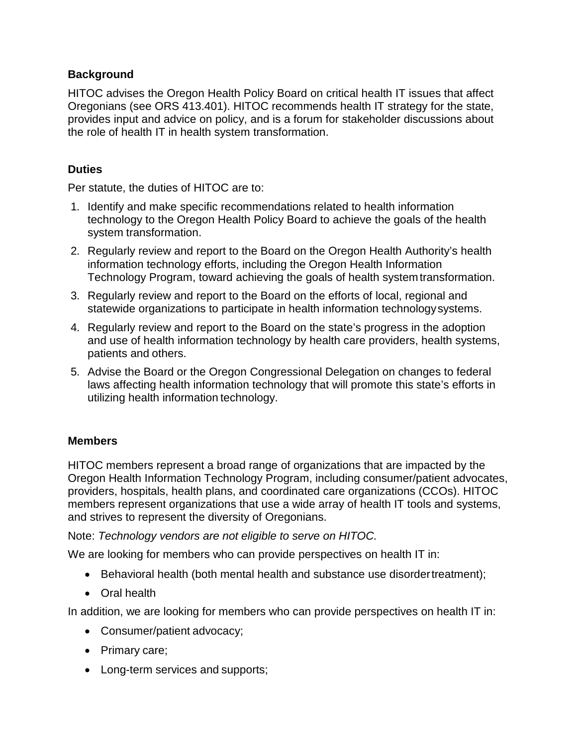#### **Background**

HITOC advises the Oregon Health Policy Board on critical health IT issues that affect Oregonians (see ORS 413.401). HITOC recommends health IT strategy for the state, provides input and advice on policy, and is a forum for stakeholder discussions about the role of health IT in health system transformation.

#### **Duties**

Per statute, the duties of HITOC are to:

- 1. Identify and make specific recommendations related to health information technology to the Oregon Health Policy Board to achieve the goals of the health system transformation.
- 2. Regularly review and report to the Board on the Oregon Health Authority's health information technology efforts, including the Oregon Health Information Technology Program, toward achieving the goals of health systemtransformation.
- 3. Regularly review and report to the Board on the efforts of local, regional and statewide organizations to participate in health information technologysystems.
- 4. Regularly review and report to the Board on the state's progress in the adoption and use of health information technology by health care providers, health systems, patients and others.
- 5. Advise the Board or the Oregon Congressional Delegation on changes to federal laws affecting health information technology that will promote this state's efforts in utilizing health information technology.

## **Members**

HITOC members represent a broad range of organizations that are impacted by the Oregon Health Information Technology Program, including consumer/patient advocates, providers, hospitals, health plans, and coordinated care organizations (CCOs). HITOC members represent organizations that use a wide array of health IT tools and systems, and strives to represent the diversity of Oregonians.

Note: *Technology vendors are not eligible to serve on HITOC.*

We are looking for members who can provide perspectives on health IT in:

- Behavioral health (both mental health and substance use disordertreatment);
- Oral health

In addition, we are looking for members who can provide perspectives on health IT in:

- Consumer/patient advocacy;
- Primary care;
- Long-term services and supports;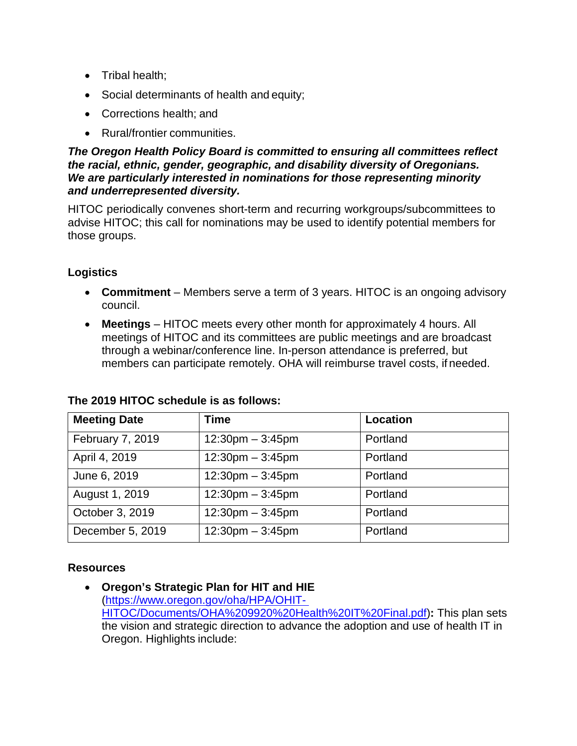- Tribal health;
- Social determinants of health and equity;
- Corrections health; and
- Rural/frontier communities.

#### *The Oregon Health Policy Board is committed to ensuring all committees reflect the racial, ethnic, gender, geographic, and disability diversity of Oregonians. We are particularly interested in nominations for those representing minority and underrepresented diversity.*

HITOC periodically convenes short-term and recurring workgroups/subcommittees to advise HITOC; this call for nominations may be used to identify potential members for those groups.

# **Logistics**

- **Commitment**  Members serve a term of 3 years. HITOC is an ongoing advisory council.
- **Meetings** HITOC meets every other month for approximately 4 hours. All meetings of HITOC and its committees are public meetings and are broadcast through a webinar/conference line. In-person attendance is preferred, but members can participate remotely. OHA will reimburse travel costs, if needed.

| <b>Meeting Date</b> | <b>Time</b>                        | Location |
|---------------------|------------------------------------|----------|
| February 7, 2019    | $12:30 \text{pm} - 3:45 \text{pm}$ | Portland |
| April 4, 2019       | $12:30$ pm $-3:45$ pm              | Portland |
| June 6, 2019        | $12:30 \text{pm} - 3:45 \text{pm}$ | Portland |
| August 1, 2019      | $12:30$ pm $-3:45$ pm              | Portland |
| October 3, 2019     | $12:30$ pm $-3:45$ pm              | Portland |
| December 5, 2019    | $12:30 \text{pm} - 3:45 \text{pm}$ | Portland |

## **The 2019 HITOC schedule is as follows:**

## **Resources**

• **Oregon's Strategic Plan for HIT and HIE**  [\(https://www.oregon.gov/oha/HPA/OHIT-](https://www.oregon.gov/oha/HPA/OHIT-HITOC/Documents/OHA%209920%20Health%20IT%20Final.pdf)[HITOC/Documents/OHA%209920%20Health%20IT%20Final.pdf\)](https://www.oregon.gov/oha/HPA/OHIT-HITOC/Documents/OHA%209920%20Health%20IT%20Final.pdf)**:** This plan sets the vision and strategic direction to advance the adoption and use of health IT in Oregon. Highlights include: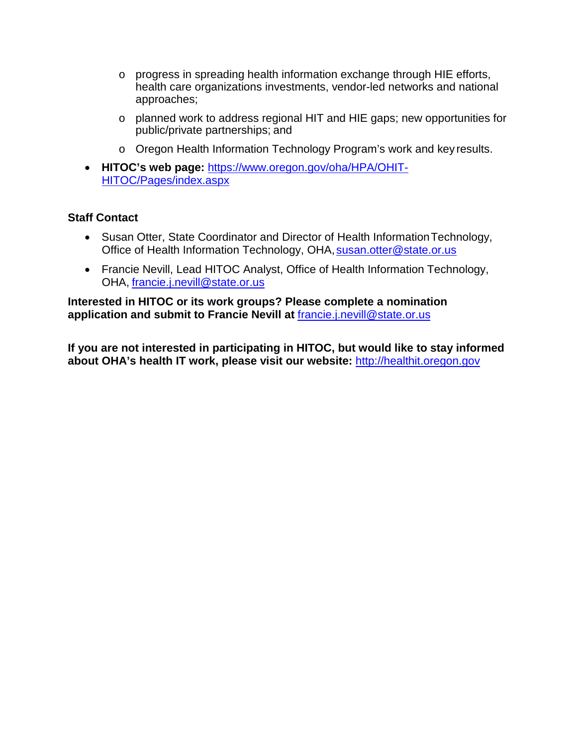- o progress in spreading health information exchange through HIE efforts, health care organizations investments, vendor-led networks and national approaches;
- o planned work to address regional HIT and HIE gaps; new opportunities for public/private partnerships; and
- o Oregon Health Information Technology Program's work and key results.
- **HITOC's web page:** [https://www.oregon.gov/oha/HPA/OHIT-](https://www.oregon.gov/oha/HPA/OHIT-HITOC/Pages/index.aspx)[HITOC/Pages/index.aspx](https://www.oregon.gov/oha/HPA/OHIT-HITOC/Pages/index.aspx)

#### **Staff Contact**

- Susan Otter, State Coordinator and Director of Health Information Technology, Office of Health Information Technology, OHA, [susan.otter@state.or.us](mailto:susan.otter@state.or.us)
- Francie Nevill, Lead HITOC Analyst, Office of Health Information Technology, OHA, [francie.j.nevill@state.or.us](mailto:francie.j.nevill@state.or.us)

**Interested in HITOC or its work groups? Please complete a nomination application and submit to Francie Nevill at** [francie.j.nevill@state.or.us](mailto:francie.j.nevill@state.or.us)

**If you are not interested in participating in HITOC, but would like to stay informed about OHA's health IT work, please visit our website:** [http://healthit.oregon.gov](http://healthit.oregon.gov/)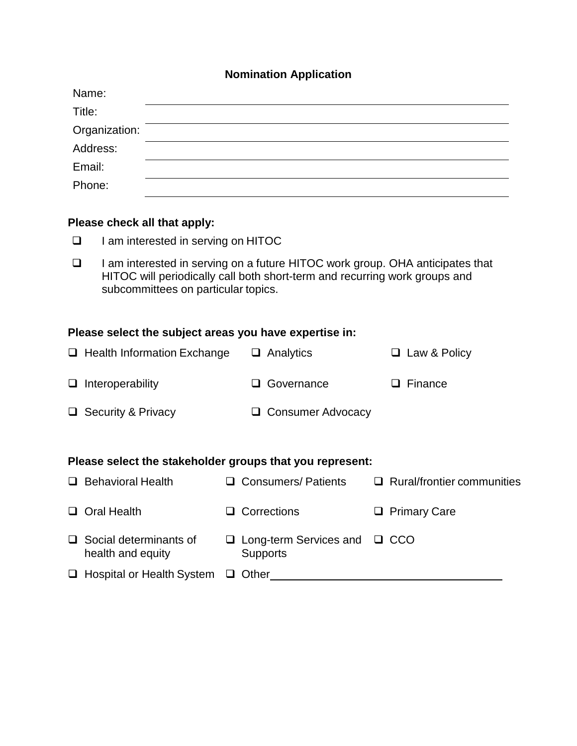## **Nomination Application**

| Name:         |  |
|---------------|--|
| Title:        |  |
| Organization: |  |
| Address:      |  |
| Email:        |  |
| Phone:        |  |

#### **Please check all that apply:**

- □ I am interested in serving on HITOC
- □ I am interested in serving on a future HITOC work group. OHA anticipates that HITOC will periodically call both short-term and recurring work groups and subcommittees on particular topics.

#### **Please select the subject areas you have expertise in:**

|        | $\Box$ Health Information Exchange                       |   | $\Box$ Analytics                                     |  | □ Law & Policy                    |  |
|--------|----------------------------------------------------------|---|------------------------------------------------------|--|-----------------------------------|--|
|        | $\Box$ Interoperability                                  |   | Governance                                           |  | $\Box$ Finance                    |  |
|        | $\Box$ Security & Privacy                                |   | $\Box$ Consumer Advocacy                             |  |                                   |  |
|        |                                                          |   |                                                      |  |                                   |  |
|        | Please select the stakeholder groups that you represent: |   |                                                      |  |                                   |  |
| $\Box$ | <b>Behavioral Health</b>                                 |   | $\Box$ Consumers/ Patients                           |  | $\Box$ Rural/frontier communities |  |
|        | $\Box$ Oral Health                                       | ப | Corrections                                          |  | $\Box$ Primary Care               |  |
|        | $\Box$ Social determinants of<br>health and equity       | u | Long-term Services and $\Box$ CCO<br><b>Supports</b> |  |                                   |  |
|        | $\Box$ Hospital or Health System                         |   | Other                                                |  |                                   |  |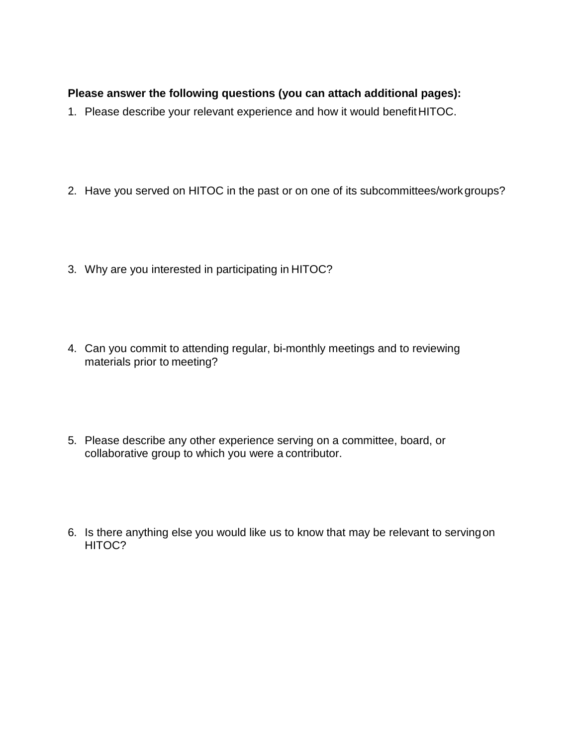## **Please answer the following questions (you can attach additional pages):**

- 1. Please describe your relevant experience and how it would benefit HITOC.
- 2. Have you served on HITOC in the past or on one of its subcommittees/workgroups?
- 3. Why are you interested in participating in HITOC?
- 4. Can you commit to attending regular, bi-monthly meetings and to reviewing materials prior to meeting?
- 5. Please describe any other experience serving on a committee, board, or collaborative group to which you were a contributor.
- 6. Is there anything else you would like us to know that may be relevant to servingon HITOC?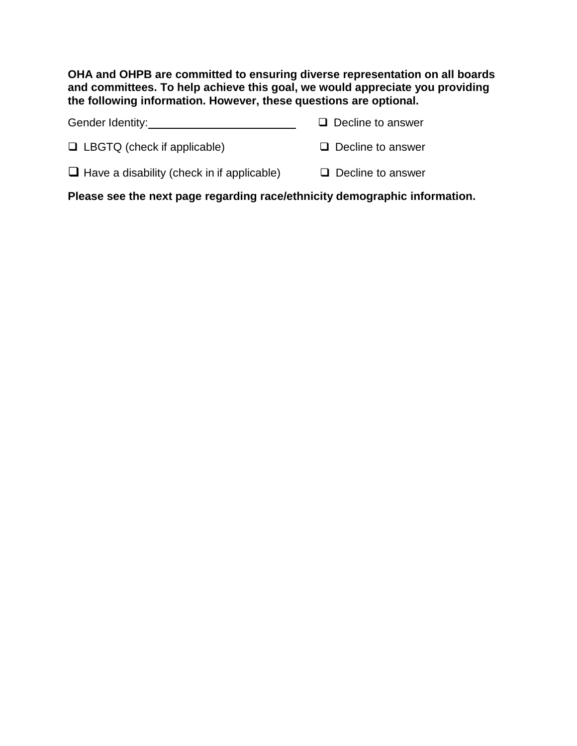**OHA and OHPB are committed to ensuring diverse representation on all boards and committees. To help achieve this goal, we would appreciate you providing the following information. However, these questions are optional.**

| Gender Identity:                                  | $\Box$ Decline to answer |
|---------------------------------------------------|--------------------------|
| $\Box$ LBGTQ (check if applicable)                | $\Box$ Decline to answer |
| $\Box$ Have a disability (check in if applicable) | $\Box$ Decline to answer |

**Please see the next page regarding race/ethnicity demographic information.**